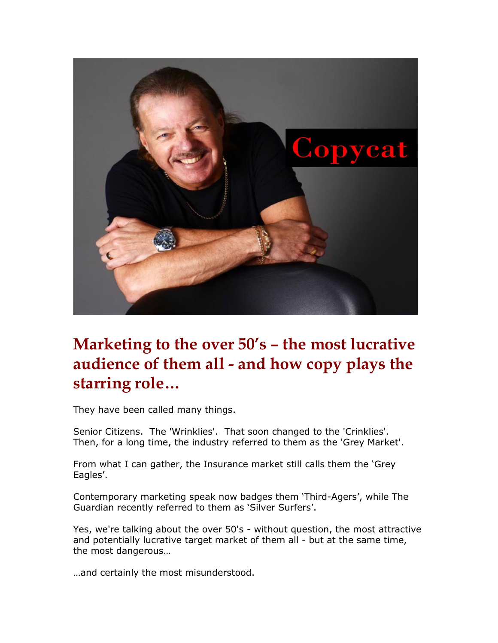

# **Marketing to the over 50's – the most lucrative audience of them all - and how copy plays the starring role…**

They have been called many things.

Senior Citizens. The 'Wrinklies'. That soon changed to the 'Crinklies'. Then, for a long time, the industry referred to them as the 'Grey Market'.

From what I can gather, the Insurance market still calls them the 'Grey Eagles'.

Contemporary marketing speak now badges them 'Third-Agers', while The Guardian recently referred to them as 'Silver Surfers'.

Yes, we're talking about the over 50's - without question, the most attractive and potentially lucrative target market of them all - but at the same time, the most dangerous…

…and certainly the most misunderstood.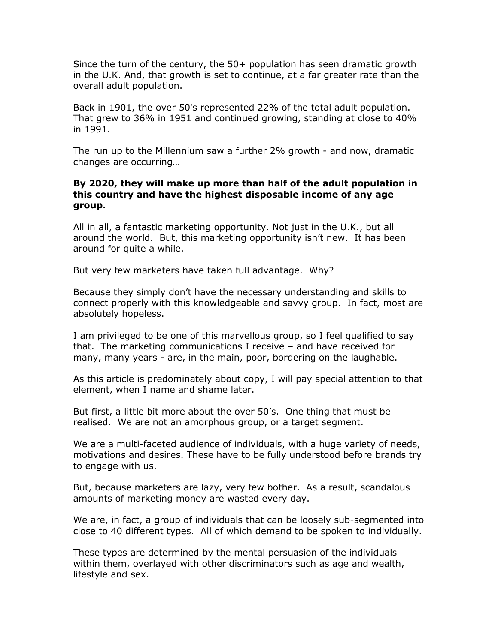Since the turn of the century, the 50+ population has seen dramatic growth in the U.K. And, that growth is set to continue, at a far greater rate than the overall adult population.

Back in 1901, the over 50's represented 22% of the total adult population. That grew to 36% in 1951 and continued growing, standing at close to 40% in 1991.

The run up to the Millennium saw a further 2% growth - and now, dramatic changes are occurring…

### **By 2020, they will make up more than half of the adult population in this country and have the highest disposable income of any age group.**

All in all, a fantastic marketing opportunity. Not just in the U.K., but all around the world. But, this marketing opportunity isn't new. It has been around for quite a while.

But very few marketers have taken full advantage. Why?

Because they simply don't have the necessary understanding and skills to connect properly with this knowledgeable and savvy group. In fact, most are absolutely hopeless.

I am privileged to be one of this marvellous group, so I feel qualified to say that. The marketing communications I receive – and have received for many, many years - are, in the main, poor, bordering on the laughable.

As this article is predominately about copy, I will pay special attention to that element, when I name and shame later.

But first, a little bit more about the over 50's. One thing that must be realised. We are not an amorphous group, or a target segment.

We are a multi-faceted audience of individuals, with a huge variety of needs, motivations and desires. These have to be fully understood before brands try to engage with us.

But, because marketers are lazy, very few bother. As a result, scandalous amounts of marketing money are wasted every day.

We are, in fact, a group of individuals that can be loosely sub-segmented into close to 40 different types. All of which demand to be spoken to individually.

These types are determined by the mental persuasion of the individuals within them, overlayed with other discriminators such as age and wealth, lifestyle and sex.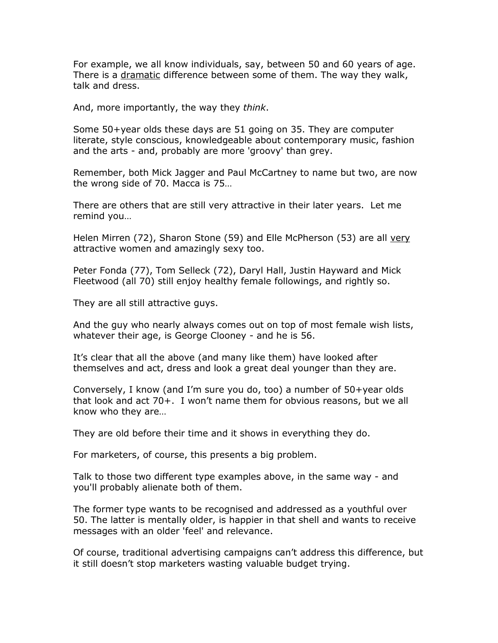For example, we all know individuals, say, between 50 and 60 years of age. There is a dramatic difference between some of them. The way they walk, talk and dress.

And, more importantly, the way they *think*.

Some 50+year olds these days are 51 going on 35. They are computer literate, style conscious, knowledgeable about contemporary music, fashion and the arts - and, probably are more 'groovy' than grey.

Remember, both Mick Jagger and Paul McCartney to name but two, are now the wrong side of 70. Macca is 75…

There are others that are still very attractive in their later years. Let me remind you…

Helen Mirren (72), Sharon Stone (59) and Elle McPherson (53) are all very attractive women and amazingly sexy too.

Peter Fonda (77), Tom Selleck (72), Daryl Hall, Justin Hayward and Mick Fleetwood (all 70) still enjoy healthy female followings, and rightly so.

They are all still attractive guys.

And the guy who nearly always comes out on top of most female wish lists, whatever their age, is George Clooney - and he is 56.

It's clear that all the above (and many like them) have looked after themselves and act, dress and look a great deal younger than they are.

Conversely, I know (and I'm sure you do, too) a number of 50+year olds that look and act 70+. I won't name them for obvious reasons, but we all know who they are…

They are old before their time and it shows in everything they do.

For marketers, of course, this presents a big problem.

Talk to those two different type examples above, in the same way - and you'll probably alienate both of them.

The former type wants to be recognised and addressed as a youthful over 50. The latter is mentally older, is happier in that shell and wants to receive messages with an older 'feel' and relevance.

Of course, traditional advertising campaigns can't address this difference, but it still doesn't stop marketers wasting valuable budget trying.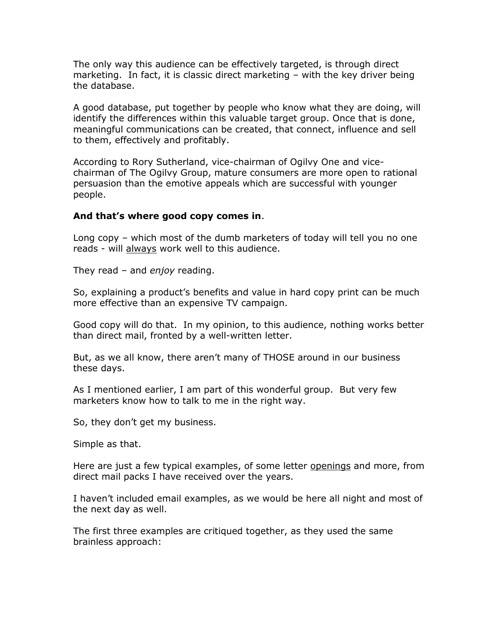The only way this audience can be effectively targeted, is through direct marketing. In fact, it is classic direct marketing – with the key driver being the database.

A good database, put together by people who know what they are doing, will identify the differences within this valuable target group. Once that is done, meaningful communications can be created, that connect, influence and sell to them, effectively and profitably.

According to Rory Sutherland, vice-chairman of Ogilvy One and vicechairman of The Ogilvy Group, mature consumers are more open to rational persuasion than the emotive appeals which are successful with younger people.

### **And that's where good copy comes in**.

Long copy – which most of the dumb marketers of today will tell you no one reads - will always work well to this audience.

They read – and *enjoy* reading.

So, explaining a product's benefits and value in hard copy print can be much more effective than an expensive TV campaign.

Good copy will do that. In my opinion, to this audience, nothing works better than direct mail, fronted by a well-written letter.

But, as we all know, there aren't many of THOSE around in our business these days.

As I mentioned earlier, I am part of this wonderful group. But very few marketers know how to talk to me in the right way.

So, they don't get my business.

Simple as that.

Here are just a few typical examples, of some letter openings and more, from direct mail packs I have received over the years.

I haven't included email examples, as we would be here all night and most of the next day as well.

The first three examples are critiqued together, as they used the same brainless approach: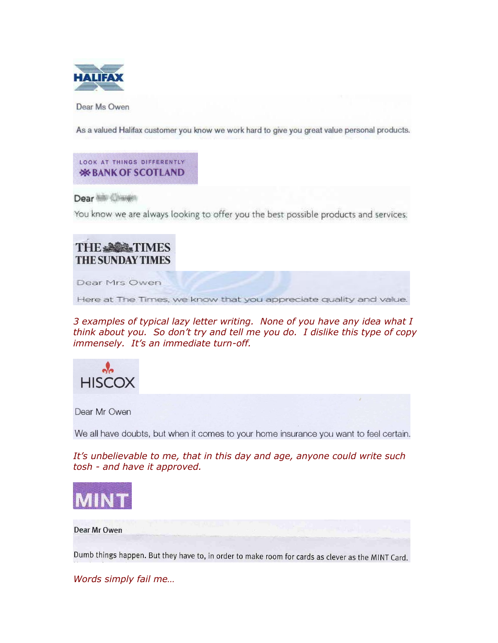

Dear Ms Owen

As a valued Halifax customer you know we work hard to give you great value personal products.

LOOK AT THINGS DIFFERENTLY *<b>WEBANK OF SCOTLAND* 

Dear Nilly Changes

You know we are always looking to offer you the best possible products and services.

## **THE ABS TIMES THE SUNDAY TIMES**

Dear Mrs Owen

Here at The Times, we know that you appreciate quality and value.

*3 examples of typical lazy letter writing. None of you have any idea what I think about you. So don't try and tell me you do. I dislike this type of copy immensely. It's an immediate turn-off.*



Dear Mr Owen

We all have doubts, but when it comes to your home insurance you want to feel certain.

*It's unbelievable to me, that in this day and age, anyone could write such tosh - and have it approved.* 



Dear Mr Owen

Dumb things happen. But they have to, in order to make room for cards as clever as the MINT Card.

*Words simply fail me…*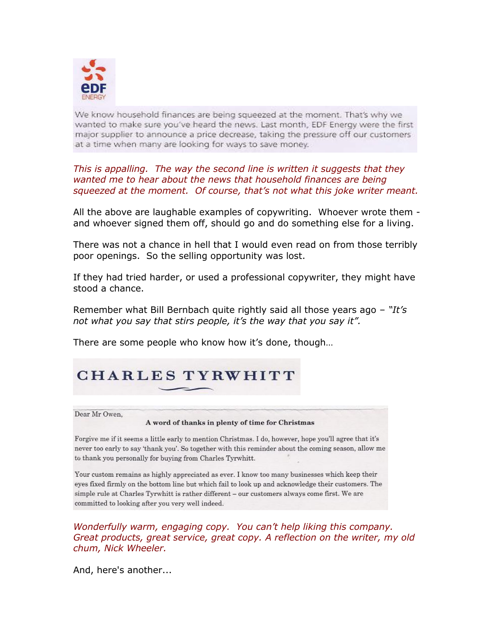

We know household finances are being squeezed at the moment. That's why we wanted to make sure you've heard the news. Last month, EDF Energy were the first major supplier to announce a price decrease, taking the pressure off our customers at a time when many are looking for ways to save money.

*This is appalling. The way the second line is written it suggests that they wanted me to hear about the news that household finances are being squeezed at the moment. Of course, that's not what this joke writer meant.*

All the above are laughable examples of copywriting. Whoever wrote them and whoever signed them off, should go and do something else for a living.

There was not a chance in hell that I would even read on from those terribly poor openings. So the selling opportunity was lost.

If they had tried harder, or used a professional copywriter, they might have stood a chance.

Remember what Bill Bernbach quite rightly said all those years ago – *"It's not what you say that stirs people, it's the way that you say it".*

There are some people who know how it's done, though…

## **CHARLES TYRWHITT**

Dear Mr Owen.

#### A word of thanks in plenty of time for Christmas

Forgive me if it seems a little early to mention Christmas. I do, however, hope you'll agree that it's never too early to say 'thank you'. So together with this reminder about the coming season, allow me to thank you personally for buying from Charles Tyrwhitt.

Your custom remains as highly appreciated as ever. I know too many businesses which keep their eyes fixed firmly on the bottom line but which fail to look up and acknowledge their customers. The simple rule at Charles Tyrwhitt is rather different - our customers always come first. We are committed to looking after you very well indeed.

*Wonderfully warm, engaging copy. You can't help liking this company. Great products, great service, great copy. A reflection on the writer, my old chum, Nick Wheeler.*

And, here's another...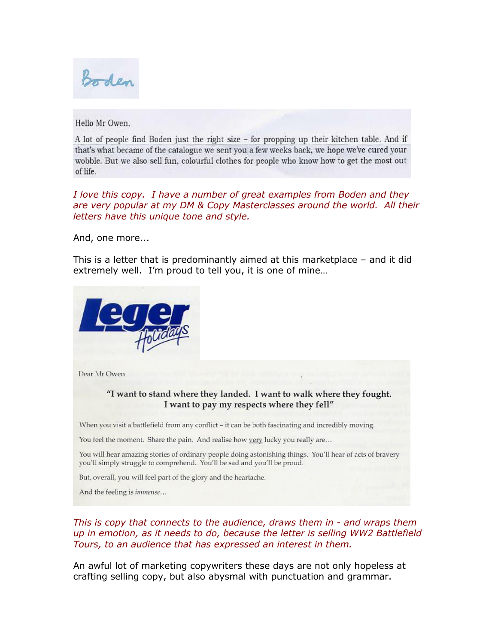Boden

Hello Mr Owen,

A lot of people find Boden just the right size – for propping up their kitchen table. And if that's what became of the catalogue we sent you a few weeks back, we hope we've cured your wobble. But we also sell fun, colourful clothes for people who know how to get the most out of life.

*I love this copy. I have a number of great examples from Boden and they are very popular at my DM & Copy Masterclasses around the world. All their letters have this unique tone and style.*

And, one more...

This is a letter that is predominantly aimed at this marketplace – and it did extremely well. I'm proud to tell you, it is one of mine...



Dear Mr Owen

### "I want to stand where they landed. I want to walk where they fought. I want to pay my respects where they fell"

When you visit a battlefield from any conflict - it can be both fascinating and incredibly moving.

You feel the moment. Share the pain. And realise how very lucky you really are...

You will hear amazing stories of ordinary people doing astonishing things. You'll hear of acts of bravery you'll simply struggle to comprehend. You'll be sad and you'll be proud.

But, overall, you will feel part of the glory and the heartache.

And the feeling is immense...

*This is copy that connects to the audience, draws them in - and wraps them up in emotion, as it needs to do, because the letter is selling WW2 Battlefield Tours, to an audience that has expressed an interest in them.*

An awful lot of marketing copywriters these days are not only hopeless at crafting selling copy, but also abysmal with punctuation and grammar.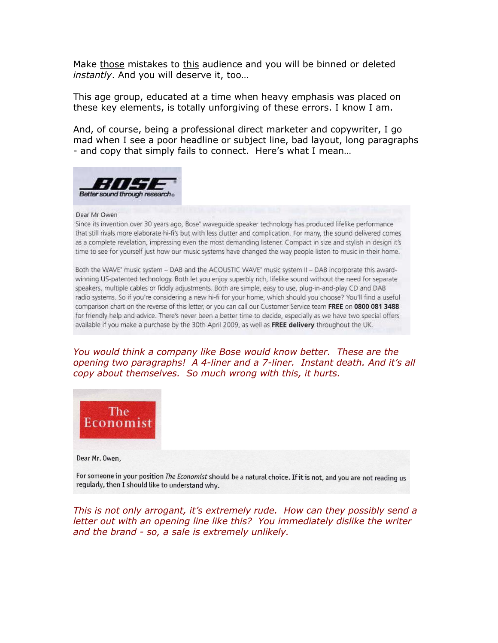Make those mistakes to this audience and you will be binned or deleted *instantly*. And you will deserve it, too…

This age group, educated at a time when heavy emphasis was placed on these key elements, is totally unforgiving of these errors. I know I am.

And, of course, being a professional direct marketer and copywriter, I go mad when I see a poor headline or subject line, bad layout, long paragraphs - and copy that simply fails to connect. Here's what I mean…



#### Dear Mr Owen

Since its invention over 30 years ago, Bose<sup>®</sup> waveguide speaker technology has produced lifelike performance that still rivals more elaborate hi-fi's but with less clutter and complication. For many, the sound delivered comes as a complete revelation, impressing even the most demanding listener. Compact in size and stylish in design it's time to see for yourself just how our music systems have changed the way people listen to music in their home.

Both the WAVE' music system - DAB and the ACOUSTIC WAVE' music system II - DAB incorporate this awardwinning US-patented technology. Both let you enjoy superbly rich, lifelike sound without the need for separate speakers, multiple cables or fiddly adjustments. Both are simple, easy to use, plug-in-and-play CD and DAB radio systems. So if you're considering a new hi-fi for your home, which should you choose? You'll find a useful comparison chart on the reverse of this letter, or you can call our Customer Service team FREE on 0800 081 3488 for friendly help and advice. There's never been a better time to decide, especially as we have two special offers available if you make a purchase by the 30th April 2009, as well as FREE delivery throughout the UK.

*You would think a company like Bose would know better. These are the opening two paragraphs! A 4-liner and a 7-liner. Instant death. And it's all copy about themselves. So much wrong with this, it hurts.*



Dear Mr. Owen,

For someone in your position The Economist should be a natural choice. If it is not, and you are not reading us regularly, then I should like to understand why.

*This is not only arrogant, it's extremely rude. How can they possibly send a letter out with an opening line like this? You immediately dislike the writer and the brand - so, a sale is extremely unlikely.*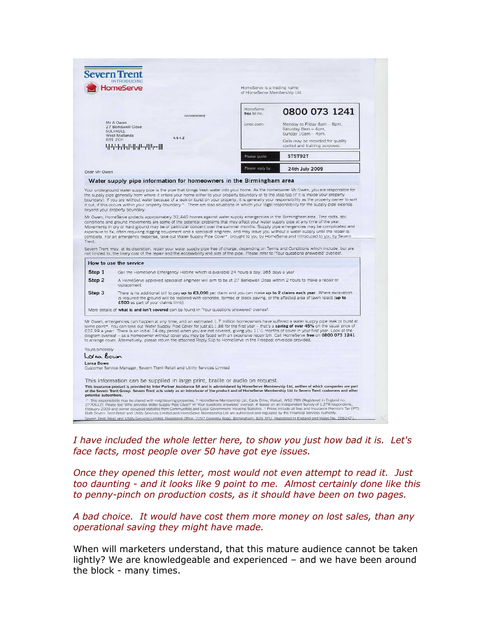| <b>HomeServe</b>                                                      |                                                                                                                                                                                                                                                                                                                                                                                                                                                                                                                                                                                                                                                                                                         | HomeServe is a trading name<br>of HomeServe Membership Ltd. |                                                                          |
|-----------------------------------------------------------------------|---------------------------------------------------------------------------------------------------------------------------------------------------------------------------------------------------------------------------------------------------------------------------------------------------------------------------------------------------------------------------------------------------------------------------------------------------------------------------------------------------------------------------------------------------------------------------------------------------------------------------------------------------------------------------------------------------------|-------------------------------------------------------------|--------------------------------------------------------------------------|
|                                                                       |                                                                                                                                                                                                                                                                                                                                                                                                                                                                                                                                                                                                                                                                                                         | HomeServe<br>free tel no-                                   | 0800 073 1241                                                            |
|                                                                       | 04/00030503<br>Mr A Owen                                                                                                                                                                                                                                                                                                                                                                                                                                                                                                                                                                                                                                                                                |                                                             |                                                                          |
|                                                                       | 27 Berkswell Close<br><b>THUHIO2</b>                                                                                                                                                                                                                                                                                                                                                                                                                                                                                                                                                                                                                                                                    | Lines open:                                                 | Monday to Friday 8am - 8pm,<br>Saturday 8am - 4pm,<br>Sunday 10am - 4pm. |
|                                                                       | West Midlands<br>4642<br>RO1 2FH                                                                                                                                                                                                                                                                                                                                                                                                                                                                                                                                                                                                                                                                        |                                                             | Calls may be recorded for quality                                        |
|                                                                       | اللسبا السالوا والملوا وليلبلوا                                                                                                                                                                                                                                                                                                                                                                                                                                                                                                                                                                                                                                                                         |                                                             | control and training purposes.                                           |
|                                                                       |                                                                                                                                                                                                                                                                                                                                                                                                                                                                                                                                                                                                                                                                                                         | Please quote                                                | STST92T                                                                  |
| Dear Mr Owen                                                          |                                                                                                                                                                                                                                                                                                                                                                                                                                                                                                                                                                                                                                                                                                         | Please reply by                                             | 24th July 2009                                                           |
|                                                                       | Water supply pipe information for homeowners in the Birmingham area                                                                                                                                                                                                                                                                                                                                                                                                                                                                                                                                                                                                                                     |                                                             |                                                                          |
|                                                                       | beyond your property boundary.<br>Mr Owen, HomeServe protects approximately 32,440 homes against water supply emergencies in the Birmingham area. Tree roots, soil<br>conditions and ground movements are some of the potential problems that may affect your water supply pipe at any time of the year.                                                                                                                                                                                                                                                                                                                                                                                                |                                                             |                                                                          |
|                                                                       | Movements in dry or hard ground may be of particular concern over the summer months. Supply pipe emergencies may be complicated and<br>expensive to fix, often requiring digging equipment and a specialist engineer, and may leave you without a water supply until the repair is                                                                                                                                                                                                                                                                                                                                                                                                                      |                                                             |                                                                          |
|                                                                       | complete. For an emergency response, take out Water Supply Pipe Cover*, brought to you by HomeServe and introduced to you by Severn<br>Severn Trent may, at its discretion, repair your water supply pipe free of charge, depending on Terms and Conditions which include, but are<br>not limited to, the likely cost of the repair and the accessibility and size of the pipe. Please refer to 'Your questions answered' overleaf.                                                                                                                                                                                                                                                                     |                                                             |                                                                          |
| Trent.                                                                | How to use the service                                                                                                                                                                                                                                                                                                                                                                                                                                                                                                                                                                                                                                                                                  |                                                             |                                                                          |
| Step 1<br>Step 2                                                      | Call the HomeServe Emergency Hotline which is available 24 hours a day, 365 days a year<br>A HomeServe approved specialist engineer will aim to be at 27 Berkswell Close within 2 hours to make a repair or                                                                                                                                                                                                                                                                                                                                                                                                                                                                                             |                                                             |                                                                          |
| Step 3                                                                | replacement<br>There is no additional bill to pay up to £3,000 per claim and you can make up to 2 claims each year. Where excavation<br>is required the ground will be restored with concrete, tarmac or block paving, or the affected area of lawn relaid (up to<br>£500 as part of your claims limit).                                                                                                                                                                                                                                                                                                                                                                                                |                                                             |                                                                          |
|                                                                       | More details of what is and isn't covered can be found in 'Your questions answered' overleaf.                                                                                                                                                                                                                                                                                                                                                                                                                                                                                                                                                                                                           |                                                             |                                                                          |
|                                                                       | Mr Owen, emergencies can happen at any time, and an estimated 1.7 million homeowners have suffered a water supply pipe leak or burst at<br>some point*. You can take out Water Supply Pipe Cover for just £11.88 for the first year - that's a saving of over 45% on the usual price of<br>£22.99 a year!. There is an initial 14 day period when you are not covered, giving you 11% months of cover in your first year. Look at the<br>diagram overleaf - as a homeowner without cover you may be faced with an expensive repair bill. Call HomeServe free on 0800 073 1241<br>to arrange cover. Alternatively, please return the attached Reply Slip to HomeServe in the Freepost envelope provided. |                                                             |                                                                          |
|                                                                       |                                                                                                                                                                                                                                                                                                                                                                                                                                                                                                                                                                                                                                                                                                         |                                                             |                                                                          |
|                                                                       |                                                                                                                                                                                                                                                                                                                                                                                                                                                                                                                                                                                                                                                                                                         |                                                             |                                                                          |
|                                                                       | Customer Service Manager, Severn Trent Retail and Utility Services Limited                                                                                                                                                                                                                                                                                                                                                                                                                                                                                                                                                                                                                              |                                                             |                                                                          |
|                                                                       | This information can be supplied in large print, braille or audio on request.                                                                                                                                                                                                                                                                                                                                                                                                                                                                                                                                                                                                                           |                                                             |                                                                          |
| Yours sincerely<br>Lorna Bown<br>Lorna Bown<br>potential subscribers. | This insurance product is provided by Inter Partner Assistance SA and is administered by HomeServe Membership Ltd, neither of which companies are part<br>of the Severn Trent Group. Severn Trent acts solely as an introducer of the product and of HomeServe Membership Ltd to Severn Trent customers and other                                                                                                                                                                                                                                                                                                                                                                                       |                                                             |                                                                          |

*I have included the whole letter here, to show you just how bad it is. Let's face facts, most people over 50 have got eye issues.* 

*Once they opened this letter, most would not even attempt to read it. Just too daunting - and it looks like 9 point to me. Almost certainly done like this to penny-pinch on production costs, as it should have been on two pages.* 

*A bad choice. It would have cost them more money on lost sales, than any operational saving they might have made.*

When will marketers understand, that this mature audience cannot be taken lightly? We are knowledgeable and experienced – and we have been around the block - many times.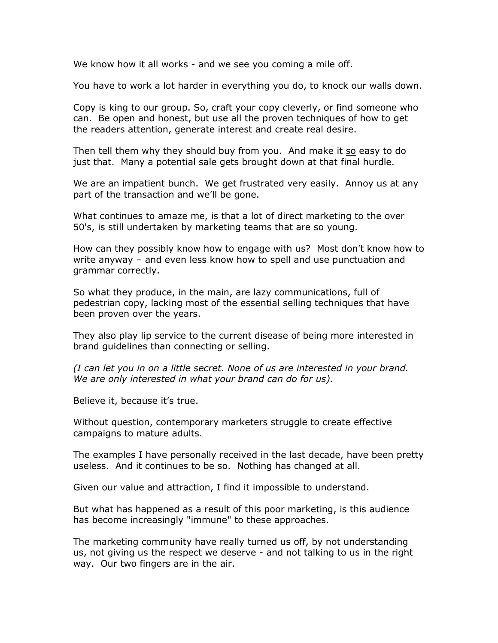We know how it all works - and we see you coming a mile off.

You have to work a lot harder in everything you do, to knock our walls down.

Copy is king to our group. So, craft your copy cleverly, or find someone who can. Be open and honest, but use all the proven techniques of how to get the readers attention, generate interest and create real desire.

Then tell them why they should buy from you. And make it so easy to do just that. Many a potential sale gets brought down at that final hurdle.

We are an impatient bunch. We get frustrated very easily. Annoy us at any part of the transaction and we'll be gone.

What continues to amaze me, is that a lot of direct marketing to the over 50's, is still undertaken by marketing teams that are so young.

How can they possibly know how to engage with us? Most don't know how to write anyway – and even less know how to spell and use punctuation and grammar correctly.

So what they produce, in the main, are lazy communications, full of pedestrian copy, lacking most of the essential selling techniques that have been proven over the years.

They also play lip service to the current disease of being more interested in brand guidelines than connecting or selling.

*(I can let you in on a little secret. None of us are interested in your brand. We are only interested in what your brand can do for us).* 

Believe it, because it's true.

Without question, contemporary marketers struggle to create effective campaigns to mature adults.

The examples I have personally received in the last decade, have been pretty useless. And it continues to be so. Nothing has changed at all.

Given our value and attraction, I find it impossible to understand.

But what has happened as a result of this poor marketing, is this audience has become increasingly "immune" to these approaches.

The marketing community have really turned us off, by not understanding us, not giving us the respect we deserve - and not talking to us in the right way. Our two fingers are in the air.